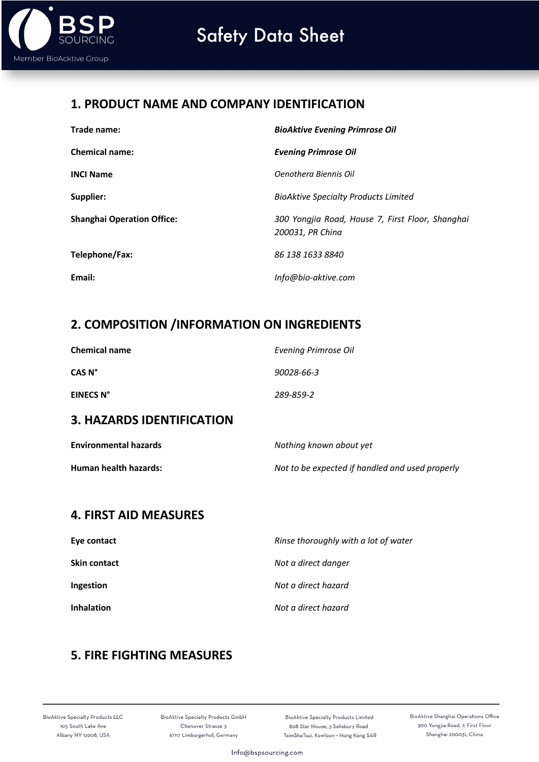

### **1. PRODUCT NAME AND COMPANY IDENTIFICATION**

| Trade name:                       | <b>BioAktive Evening Primrose Oil</b>                                |
|-----------------------------------|----------------------------------------------------------------------|
| <b>Chemical name:</b>             | <b>Evening Primrose Oil</b>                                          |
| <b>INCI Name</b>                  | Oenothera Biennis Oil                                                |
| Supplier:                         | <b>BioAktive Specialty Products Limited</b>                          |
| <b>Shanghai Operation Office:</b> | 300 Yongjia Road, House 7, First Floor, Shanghai<br>200031, PR China |
| Telephone/Fax:                    | 86 138 1633 8840                                                     |
| Email:                            | Info@bio-aktive.com                                                  |

## **2. COMPOSITION /INFORMATION ON INGREDIENTS**

| <b>Chemical name</b> | Evening Primrose Oil |
|----------------------|----------------------|
| CAS N°               | 90028-66-3           |
| EINECS N°            | 289-859-2            |

### **3. HAZARDS IDENTIFICATION**

| <b>Environmental hazards</b> | Nothing known about yet                         |
|------------------------------|-------------------------------------------------|
| Human health hazards:        | Not to be expected if handled and used properly |

## **4. FIRST AID MEASURES**

| Eye contact         | Rinse thoroughly with a lot of water |
|---------------------|--------------------------------------|
| <b>Skin contact</b> | Not a direct danger                  |
| Ingestion           | Not a direct hazard                  |
| <b>Inhalation</b>   | Not a direct hazard                  |

## **5. FIRE FIGHTING MEASURES**

**BioAktive Specialty Products LLC** 105 South Lake Ave Albany NY 12208, USA

**BioAktive Specialty Products GmbH** Chenover Strasse 3 67117 Limburgerhof, Germany

BioAktive Specialty Products Limited 808 Star House, 3 Salisbury Road TsimShaTsui, Kowloon . Hong Kong SAR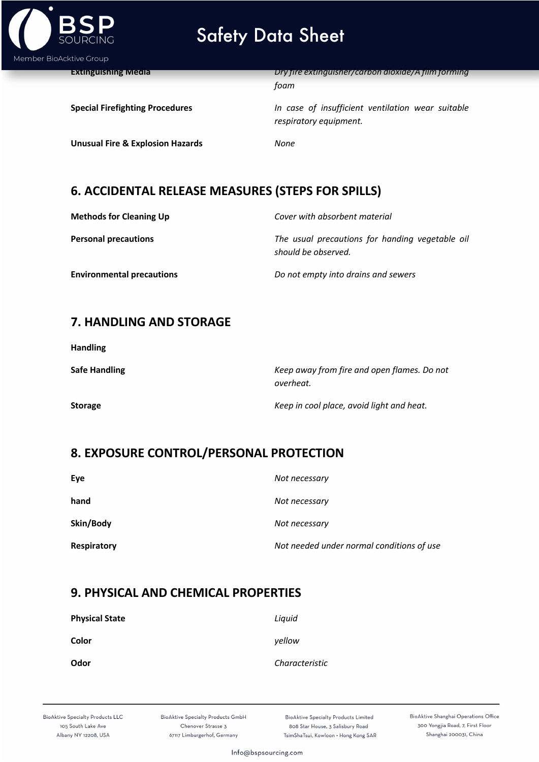

**Extinguishing Media** *Dry fire extinguisher/carbon dioxide/A film forming foam*

**Special Firefighting Procedures** *In case of insufficient ventilation wear suitable respiratory equipment.*

**Unusual Fire & Explosion Hazards** *None*

## **6. ACCIDENTAL RELEASE MEASURES (STEPS FOR SPILLS)**

**Methods for Cleaning Up** *Cover with absorbent material*

**Personal precautions** *The usual precautions for handing vegetable oil should be observed.*

**Environmental precautions** *Do not empty into drains and sewers*

## **7. HANDLING AND STORAGE**

**Handling**

**Safe Handling** *Keep away from fire and open flames. Do not overheat.*

**Storage** *Keep in cool place, avoid light and heat.*

## **8. EXPOSURE CONTROL/PERSONAL PROTECTION**

| Eve                | Not necessary                             |
|--------------------|-------------------------------------------|
| hand               | Not necessary                             |
| Skin/Body          | Not necessary                             |
| <b>Respiratory</b> | Not needed under normal conditions of use |

## **9. PHYSICAL AND CHEMICAL PROPERTIES**

| <b>Physical State</b> | Liquid         |
|-----------------------|----------------|
| Color                 | vellow         |
| <b>Odor</b>           | Characteristic |

**BioAktive Specialty Products LLC** 105 South Lake Ave Albany NY 12208, USA

**BioAktive Specialty Products GmbH** Chenover Strasse 3 67117 Limburgerhof, Germany

**BioAktive Specialty Products Limited** 808 Star House, 3 Salisbury Road TsimShaTsui, Kowloon . Hong Kong SAR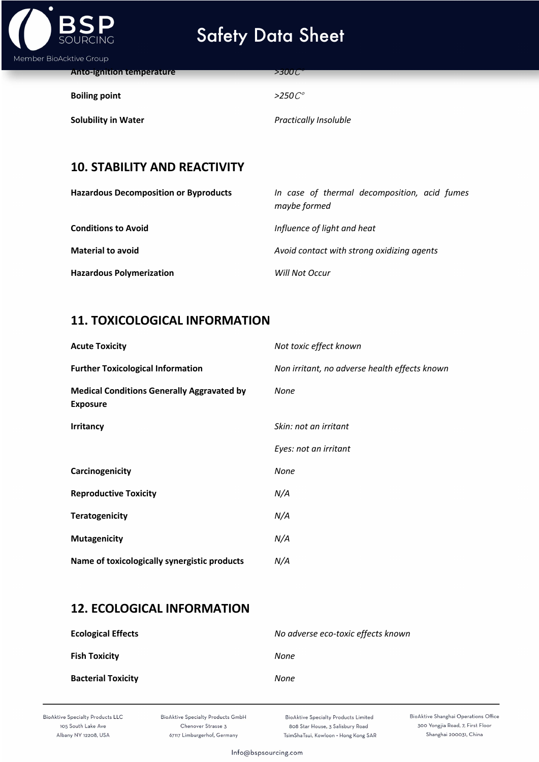

**Anto-ignition temperature** *>300*℃

**Boiling point** *>250*℃

**Solubility in Water** *Practically Insoluble*

### **10. STABILITY AND REACTIVITY**

| <b>Hazardous Decomposition or Byproducts</b> | In case of thermal decomposition, acid fumes<br>maybe formed |
|----------------------------------------------|--------------------------------------------------------------|
| <b>Conditions to Avoid</b>                   | Influence of light and heat                                  |
| <b>Material to avoid</b>                     | Avoid contact with strong oxidizing agents                   |
| <b>Hazardous Polymerization</b>              | Will Not Occur                                               |

## **11. TOXICOLOGICAL INFORMATION**

| <b>Acute Toxicity</b>                                                | Not toxic effect known                        |
|----------------------------------------------------------------------|-----------------------------------------------|
| <b>Further Toxicological Information</b>                             | Non irritant, no adverse health effects known |
| <b>Medical Conditions Generally Aggravated by</b><br><b>Exposure</b> | None                                          |
| <b>Irritancy</b>                                                     | Skin: not an irritant                         |
|                                                                      | Eyes: not an irritant                         |
| Carcinogenicity                                                      | None                                          |
| <b>Reproductive Toxicity</b>                                         | N/A                                           |
| <b>Teratogenicity</b>                                                | N/A                                           |
| <b>Mutagenicity</b>                                                  | N/A                                           |
| Name of toxicologically synergistic products                         | N/A                                           |

## **12. ECOLOGICAL INFORMATION**

| <b>Ecological Effects</b> | No adverse eco-toxic effects known |
|---------------------------|------------------------------------|
| <b>Fish Toxicity</b>      | None                               |
| <b>Bacterial Toxicity</b> | None                               |

BioAktive Specialty Products LLC 105 South Lake Ave Albany NY 12208, USA

BioAktive Specialty Products GmbH Chenover Strasse 3 67117 Limburgerhof, Germany

BioAktive Specialty Products Limited 808 Star House, 3 Salisbury Road TsimShaTsui, Kowloon • Hong Kong SAR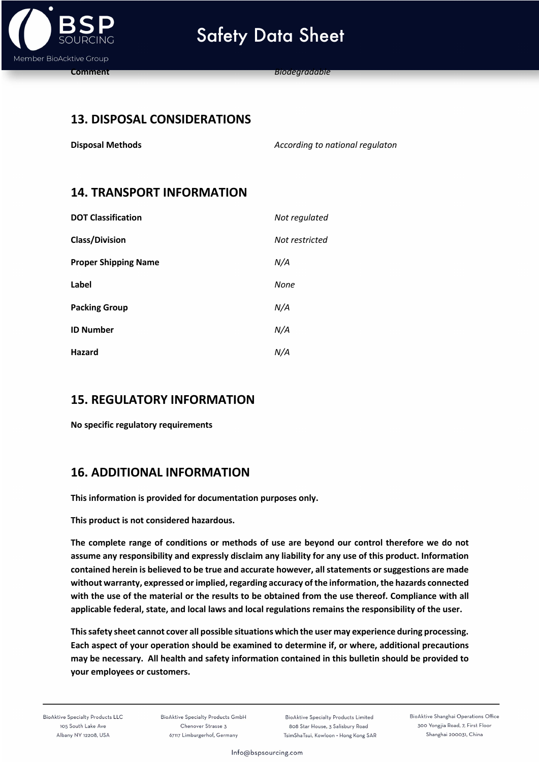

**Comment** *Biodegradable*

### **13. DISPOSAL CONSIDERATIONS**

**Disposal Methods** *According to national regulaton*

### **14. TRANSPORT INFORMATION**

| <b>DOT Classification</b>   | Not regulated  |
|-----------------------------|----------------|
| <b>Class/Division</b>       | Not restricted |
| <b>Proper Shipping Name</b> | N/A            |
| Label                       | None           |
| <b>Packing Group</b>        | N/A            |
| <b>ID Number</b>            | N/A            |
| Hazard                      | N/A            |

### **15. REGULATORY INFORMATION**

**No specific regulatory requirements**

### **16. ADDITIONAL INFORMATION**

**This information is provided for documentation purposes only.**

**This product is not considered hazardous.**

**The complete range of conditions or methods of use are beyond our control therefore we do not assume any responsibility and expressly disclaim any liability for any use of this product. Information contained herein is believed to be true and accurate however, all statements or suggestions are made without warranty, expressed or implied, regarding accuracy of the information, the hazards connected with the use of the material or the results to be obtained from the use thereof. Compliance with all applicable federal, state, and local laws and local regulations remains the responsibility of the user.**

**This safety sheet cannot cover all possible situations which the user may experience during processing. Each aspect of your operation should be examined to determine if, or where, additional precautions may be necessary. All health and safety information contained in this bulletin should be provided to your employees or customers.**

**BioAktive Specialty Products LLC** 105 South Lake Ave Albany NY 12208, USA

**BioAktive Specialty Products GmbH** Chenover Strasse 3 67117 Limburgerhof, Germany

**BioAktive Specialty Products Limited** 808 Star House, 3 Salisbury Road TsimShaTsui, Kowloon . Hong Kong SAR